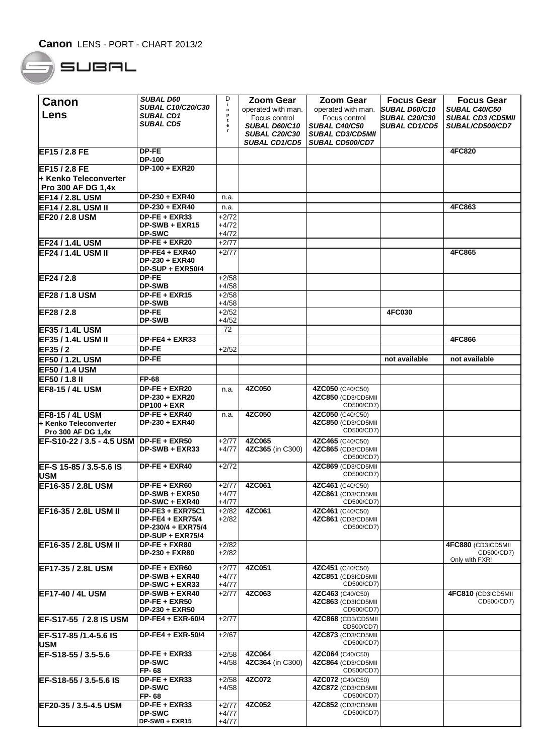## $SUBRL$

| Canon                               | <b>SUBAL D60</b>                          | D                  | Zoom Gear                  | <b>Zoom Gear</b>                       | <b>Focus Gear</b>    | <b>Focus Gear</b>            |
|-------------------------------------|-------------------------------------------|--------------------|----------------------------|----------------------------------------|----------------------|------------------------------|
|                                     | <b>SUBAL C10/C20/C30</b>                  | j.                 | operated with man.         | operated with man.                     | SUBAL D60/C10        | SUBAL C40/C50                |
| Lens                                | SUBAL CD1                                 | t                  | Focus control              | Focus control                          | <b>SUBAL C20/C30</b> | <b>SUBAL CD3/CD5MII</b>      |
|                                     | SUBAL CD5                                 | e                  | <b>SUBAL D60/C10</b>       | SUBAL C40/C50                          | <b>SUBAL CD1/CD5</b> | SUBAL/CD500/CD7              |
|                                     |                                           |                    | <b>SUBAL C20/C30</b>       | <b>SUBAL CD3/CD5MII</b>                |                      |                              |
| EF15 / 2.8 FE                       | DP-FE                                     |                    | SUBAL CD1/CD5              | <b>SUBAL CD500/CD7</b>                 |                      | <b>4FC820</b>                |
|                                     | <b>DP-100</b>                             |                    |                            |                                        |                      |                              |
| EF15 / 2.8 FE                       | DP-100 + EXR20                            |                    |                            |                                        |                      |                              |
| + Kenko Teleconverter               |                                           |                    |                            |                                        |                      |                              |
| <b>Pro 300 AF DG 1,4x</b>           |                                           |                    |                            |                                        |                      |                              |
| <b>EF14 / 2.8L USM</b>              | DP-230 + EXR40                            | n.a.               |                            |                                        |                      |                              |
| <b>EF14 / 2.8L USM II</b>           | DP-230 + EXR40                            | n.a.               |                            |                                        |                      | 4FC863                       |
| <b>EF20 / 2.8 USM</b>               | DP-FE + EXR33                             | $+2/72$            |                            |                                        |                      |                              |
|                                     | $DP-SWB + EXR15$                          | $+4/72$            |                            |                                        |                      |                              |
|                                     | <b>DP-SWC</b>                             | $+4/72$            |                            |                                        |                      |                              |
| <b>EF24 / 1.4L USM</b>              | DP-FE + EXR20                             | $+2/77$            |                            |                                        |                      |                              |
| <b>EF24 / 1.4L USM II</b>           | $DP-FE4 + EXR40$                          | $+2/77$            |                            |                                        |                      | 4FC865                       |
|                                     | DP-230 + EXR40<br>DP-SUP + EXR50/4        |                    |                            |                                        |                      |                              |
| EF24 / 2.8                          | <b>DP-FE</b>                              | $+2/58$            |                            |                                        |                      |                              |
|                                     | <b>DP-SWB</b>                             | $+4/58$            |                            |                                        |                      |                              |
| EF28 / 1.8 USM                      | DP-FE + EXR15                             | $+2/58$            |                            |                                        |                      |                              |
|                                     | <b>DP-SWB</b>                             | $+4/58$            |                            |                                        |                      |                              |
| EF28/2.8                            | DP-FE                                     | $+2/52$            |                            |                                        | <b>4FC030</b>        |                              |
| EF35 / 1.4L USM                     | <b>DP-SWB</b>                             | $+4/52$<br>72      |                            |                                        |                      |                              |
|                                     | DP-FE4 + EXR33                            |                    |                            |                                        |                      | 4FC866                       |
| <b>EF35 / 1.4L USM II</b><br>EF35/2 | DP-FE                                     | $+2/52$            |                            |                                        |                      |                              |
| <b>EF50 / 1.2L USM</b>              | <b>DP-FE</b>                              |                    |                            |                                        | not available        | not available                |
| <b>EF50 / 1.4 USM</b>               |                                           |                    |                            |                                        |                      |                              |
| EF50/1.8 II                         | <b>FP-68</b>                              |                    |                            |                                        |                      |                              |
| <b>EF8-15 / 4L USM</b>              | DP-FE + EXR20                             | n.a.               | 4ZC050                     | 4ZC050 (C40/C50)                       |                      |                              |
|                                     | <b>DP-230 + EXR20</b>                     |                    |                            | 4ZC850 (CD3/CD5MII                     |                      |                              |
|                                     | <b>DP100 + EXR</b>                        |                    |                            | CD500/CD7)                             |                      |                              |
| <b>EF8-15 / 4L USM</b>              | DP-FE + EXR40                             | n.a.               | 4ZC050                     | 4ZC050 (C40/C50)                       |                      |                              |
| l+ Kenko Teleconverter              | <b>DP-230 + EXR40</b>                     |                    |                            | 4ZC850 (CD3/CD5MII                     |                      |                              |
| Pro 300 AF DG 1,4x                  |                                           |                    |                            | CD500/CD7)                             |                      |                              |
| EF-S10-22 / 3.5 - 4.5 USM           | $DP-FE + EXR50$<br>DP-SWB + EXR33         | $+2/77$<br>$+4/77$ | 4ZC065<br>4ZC365 (in C300) | 4ZC465 (C40/C50)<br>4ZC865 (CD3/CD5MII |                      |                              |
|                                     |                                           |                    |                            | CD500/CD7)                             |                      |                              |
| EF-S 15-85 / 3.5-5.6 IS             | DP-FE + EXR40                             | $+2/72$            |                            | 4ZC869 (CD3/CD5MII                     |                      |                              |
| <b>USM</b>                          |                                           |                    |                            | CD500/CD7)                             |                      |                              |
| EF16-35 / 2.8L USM                  | DP-FE + EXR60                             | $+2/77$            | 4ZC061                     | 4ZC461 (C40/C50)                       |                      |                              |
|                                     | DP-SWB + EXR50                            | $+4/77$            |                            | 4ZC861 (CD3/CD5MII                     |                      |                              |
|                                     | DP-SWC + EXR40<br><b>DP-FE3 + EXR75C1</b> | $+4/77$            |                            | CD500/CD7)                             |                      |                              |
| EF16-35 / 2.8L USM II               | $DP-FE4 + EXR75/4$                        | $+2/82$<br>$+2/82$ | 4ZC061                     | 4ZC461 (C40/C50)<br>4ZC861 (CD3/CD5MII |                      |                              |
|                                     | DP-230/4 + EXR75/4                        |                    |                            | CD500/CD7)                             |                      |                              |
|                                     | DP-SUP + EXR75/4                          |                    |                            |                                        |                      |                              |
| EF16-35 / 2.8L USM II               | DP-FE + FXR80                             | $+2/82$            |                            |                                        |                      | 4FC880 (CD3ICD5MII           |
|                                     | DP-230 + FXR80                            | $+2/82$            |                            |                                        |                      | CD500/CD7)<br>Only with FXR! |
| EF17-35 / 2.8L USM                  | DP-FE + EXR60                             | $+2/77$            | 4ZC051                     | 4ZC451 (C40/C50)                       |                      |                              |
|                                     | DP-SWB + EXR40                            | $+4/77$            |                            | 4ZC851 (CD3ICD5MII                     |                      |                              |
|                                     | DP-SWC + EXR33                            | +4/77              |                            | CD500/CD7)                             |                      |                              |
| <b>EF17-40 / 4L USM</b>             | DP-SWB + EXR40                            | $+2/77$            | 4ZC063                     | 4ZC463 (C40/C50)                       |                      | 4FC810 (CD3ICD5MII           |
|                                     | $DP-FE + EXR50$<br>DP-230 + EXR50         |                    |                            | 4ZC863 (CD3ICD5MII<br>CD500/CD7)       |                      | CD500/CD7)                   |
| EF-S17-55 / 2.8 IS USM              | <b>DP-FE4 + EXR-60/4</b>                  | $+2/77$            |                            | 4ZC868 (CD3/CD5MII                     |                      |                              |
|                                     |                                           |                    |                            | CD500/CD7)                             |                      |                              |
| EF-S17-85 /1.4-5.6 IS               | DP-FE4 + EXR-50/4                         | $+2/67$            |                            | 4ZC873 (CD3/CD5MII                     |                      |                              |
| <b>USM</b>                          |                                           |                    |                            | CD500/CD7)                             |                      |                              |
| EF-S18-55 / 3.5-5.6                 | DP-FE + EXR33                             | $+2/58$            | 4ZC064                     | 4ZC064 (C40/C50)                       |                      |                              |
|                                     | <b>DP-SWC</b><br>FP-68                    | $+4/58$            | 4ZC364 (in C300)           | 4ZC864 (CD3/CD5MII<br>CD500/CD7)       |                      |                              |
| EF-S18-55 / 3.5-5.6 IS              | $DF-FE + EXR33$                           | $+2/58$            | 4ZC072                     | 4ZC072 (C40/C50)                       |                      |                              |
|                                     | <b>DP-SWC</b>                             | $+4/58$            |                            | 4ZC872 (CD3/CD5MII                     |                      |                              |
|                                     | FP-68                                     |                    |                            | CD500/CD7)                             |                      |                              |
| EF20-35 / 3.5-4.5 USM               | DP-FE + EXR33                             | $+2/77$            | 4ZC052                     | 4ZC852 (CD3/CD5MII                     |                      |                              |
|                                     | <b>DP-SWC</b><br>DP-SWB + EXR15           | $+4/77$<br>$+4/77$ |                            | CD500/CD7)                             |                      |                              |
|                                     |                                           |                    |                            |                                        |                      |                              |